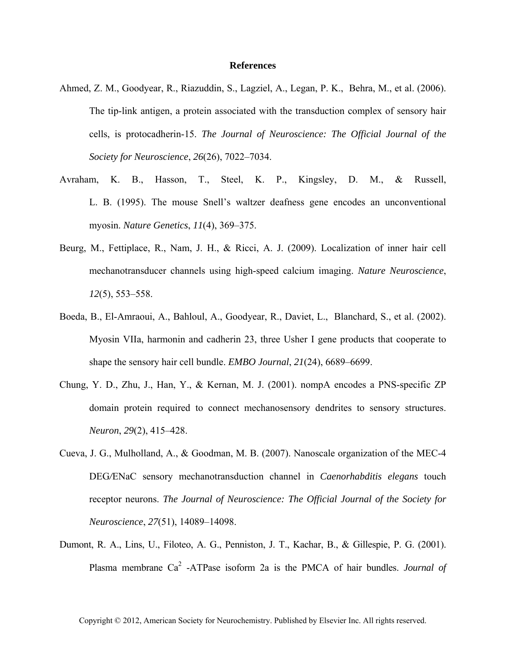## **References**

- Ahmed, Z. M., Goodyear, R., Riazuddin, S., Lagziel, A., Legan, P. K., Behra, M., et al. (2006). The tip-link antigen, a protein associated with the transduction complex of sensory hair cells, is protocadherin-15. *The Journal of Neuroscience: The Official Journal of the Society for Neuroscience*, *26*(26), 7022–7034.
- Avraham, K. B., Hasson, T., Steel, K. P., Kingsley, D. M., & Russell, L. B. (1995). The mouse Snell's waltzer deafness gene encodes an unconventional myosin. *Nature Genetics*, *11*(4), 369–375.
- Beurg, M., Fettiplace, R., Nam, J. H., & Ricci, A. J. (2009). Localization of inner hair cell mechanotransducer channels using high-speed calcium imaging. *Nature Neuroscience*, *12*(5), 553–558.
- Boeda, B., El-Amraoui, A., Bahloul, A., Goodyear, R., Daviet, L., Blanchard, S., et al. (2002). Myosin VIIa, harmonin and cadherin 23, three Usher I gene products that cooperate to shape the sensory hair cell bundle. *EMBO Journal*, *21*(24), 6689–6699.
- Chung, Y. D., Zhu, J., Han, Y., & Kernan, M. J. (2001). nompA encodes a PNS-specific ZP domain protein required to connect mechanosensory dendrites to sensory structures. *Neuron*, *29*(2), 415–428.
- Cueva, J. G., Mulholland, A., & Goodman, M. B. (2007). Nanoscale organization of the MEC-4 DEG*/*ENaC sensory mechanotransduction channel in *Caenorhabditis elegans* touch receptor neurons. *The Journal of Neuroscience: The Official Journal of the Society for Neuroscience*, *27*(51), 14089–14098.
- Dumont, R. A., Lins, U., Filoteo, A. G., Penniston, J. T., Kachar, B., & Gillespie, P. G. (2001). Plasma membrane Ca<sup>2</sup>-ATPase isoform 2a is the PMCA of hair bundles. *Journal of*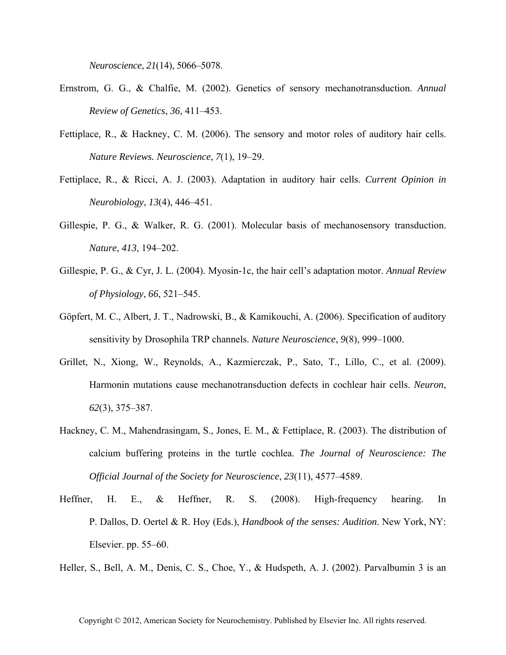*Neuroscience*, *21*(14), 5066–5078.

- Ernstrom, G. G., & Chalfie, M. (2002). Genetics of sensory mechanotransduction. *Annual Review of Genetics*, *36*, 411–453.
- Fettiplace, R., & Hackney, C. M. (2006). The sensory and motor roles of auditory hair cells. *Nature Reviews. Neuroscience*, *7*(1), 19–29.
- Fettiplace, R., & Ricci, A. J. (2003). Adaptation in auditory hair cells. *Current Opinion in Neurobiology*, *13*(4), 446–451.
- Gillespie, P. G., & Walker, R. G. (2001). Molecular basis of mechanosensory transduction. *Nature*, *413*, 194–202.
- Gillespie, P. G., & Cyr, J. L. (2004). Myosin-1c, the hair cell's adaptation motor. *Annual Review of Physiology*, *66*, 521–545.
- Göpfert, M. C., Albert, J. T., Nadrowski, B., & Kamikouchi, A. (2006). Specification of auditory sensitivity by Drosophila TRP channels. *Nature Neuroscience*, *9*(8), 999–1000.
- Grillet, N., Xiong, W., Reynolds, A., Kazmierczak, P., Sato, T., Lillo, C., et al. (2009). Harmonin mutations cause mechanotransduction defects in cochlear hair cells. *Neuron*, *62*(3), 375–387.
- Hackney, C. M., Mahendrasingam, S., Jones, E. M., & Fettiplace, R. (2003). The distribution of calcium buffering proteins in the turtle cochlea. *The Journal of Neuroscience: The Official Journal of the Society for Neuroscience*, *23*(11), 4577–4589.
- Heffner, H. E., & Heffner, R. S. (2008). High-frequency hearing. In P. Dallos, D. Oertel & R. Hoy (Eds.), *Handbook of the senses: Audition*. New York, NY: Elsevier. pp. 55–60.

Heller, S., Bell, A. M., Denis, C. S., Choe, Y., & Hudspeth, A. J. (2002). Parvalbumin 3 is an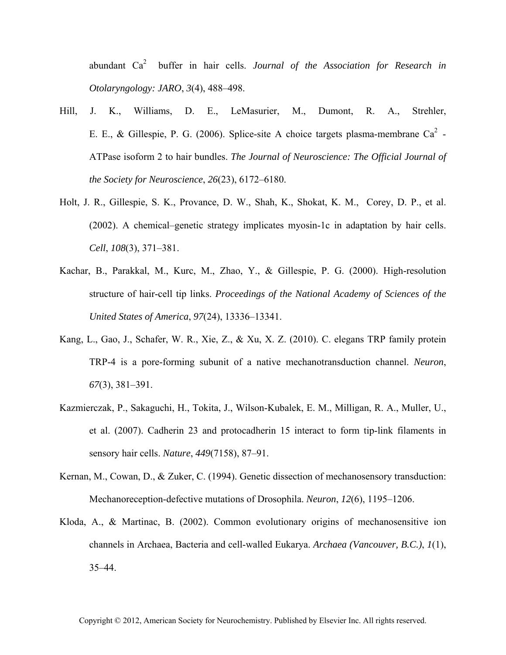abundant Ca2 buffer in hair cells. *Journal of the Association for Research in Otolaryngology: JARO*, *3*(4), 488–498.

- Hill, J. K., Williams, D. E., LeMasurier, M., Dumont, R. A., Strehler, E. E., & Gillespie, P. G. (2006). Splice-site A choice targets plasma-membrane Ca<sup>2</sup>-ATPase isoform 2 to hair bundles. *The Journal of Neuroscience: The Official Journal of the Society for Neuroscience*, *26*(23), 6172–6180.
- Holt, J. R., Gillespie, S. K., Provance, D. W., Shah, K., Shokat, K. M., Corey, D. P., et al. (2002). A chemical–genetic strategy implicates myosin-1c in adaptation by hair cells. *Cell*, *108*(3), 371–381.
- Kachar, B., Parakkal, M., Kurc, M., Zhao, Y., & Gillespie, P. G. (2000). High-resolution structure of hair-cell tip links. *Proceedings of the National Academy of Sciences of the United States of America*, *97*(24), 13336–13341.
- Kang, L., Gao, J., Schafer, W. R., Xie, Z., & Xu, X. Z. (2010). C. elegans TRP family protein TRP-4 is a pore-forming subunit of a native mechanotransduction channel. *Neuron*, *67*(3), 381–391.
- Kazmierczak, P., Sakaguchi, H., Tokita, J., Wilson-Kubalek, E. M., Milligan, R. A., Muller, U., et al. (2007). Cadherin 23 and protocadherin 15 interact to form tip-link filaments in sensory hair cells. *Nature*, *449*(7158), 87–91.
- Kernan, M., Cowan, D., & Zuker, C. (1994). Genetic dissection of mechanosensory transduction: Mechanoreception-defective mutations of Drosophila. *Neuron*, *12*(6), 1195–1206.
- Kloda, A., & Martinac, B. (2002). Common evolutionary origins of mechanosensitive ion channels in Archaea, Bacteria and cell-walled Eukarya. *Archaea (Vancouver, B.C.)*, *1*(1), 35–44.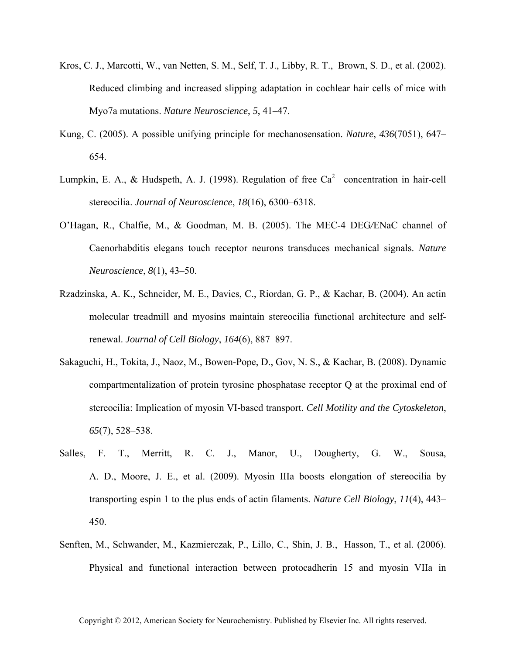- Kros, C. J., Marcotti, W., van Netten, S. M., Self, T. J., Libby, R. T., Brown, S. D., et al. (2002). Reduced climbing and increased slipping adaptation in cochlear hair cells of mice with Myo7a mutations. *Nature Neuroscience*, *5*, 41–47.
- Kung, C. (2005). A possible unifying principle for mechanosensation. *Nature*, *436*(7051), 647– 654.
- Lumpkin, E. A., & Hudspeth, A. J. (1998). Regulation of free  $Ca^2$  concentration in hair-cell stereocilia. *Journal of Neuroscience*, *18*(16), 6300–6318.
- O'Hagan, R., Chalfie, M., & Goodman, M. B. (2005). The MEC-4 DEG*/*ENaC channel of Caenorhabditis elegans touch receptor neurons transduces mechanical signals. *Nature Neuroscience*, *8*(1), 43–50.
- Rzadzinska, A. K., Schneider, M. E., Davies, C., Riordan, G. P., & Kachar, B. (2004). An actin molecular treadmill and myosins maintain stereocilia functional architecture and selfrenewal. *Journal of Cell Biology*, *164*(6), 887–897.
- Sakaguchi, H., Tokita, J., Naoz, M., Bowen-Pope, D., Gov, N. S., & Kachar, B. (2008). Dynamic compartmentalization of protein tyrosine phosphatase receptor Q at the proximal end of stereocilia: Implication of myosin VI-based transport. *Cell Motility and the Cytoskeleton*, *65*(7), 528–538.
- Salles, F. T., Merritt, R. C. J., Manor, U., Dougherty, G. W., Sousa, A. D., Moore, J. E., et al. (2009). Myosin IIIa boosts elongation of stereocilia by transporting espin 1 to the plus ends of actin filaments. *Nature Cell Biology*, *11*(4), 443– 450.
- Senften, M., Schwander, M., Kazmierczak, P., Lillo, C., Shin, J. B., Hasson, T., et al. (2006). Physical and functional interaction between protocadherin 15 and myosin VIIa in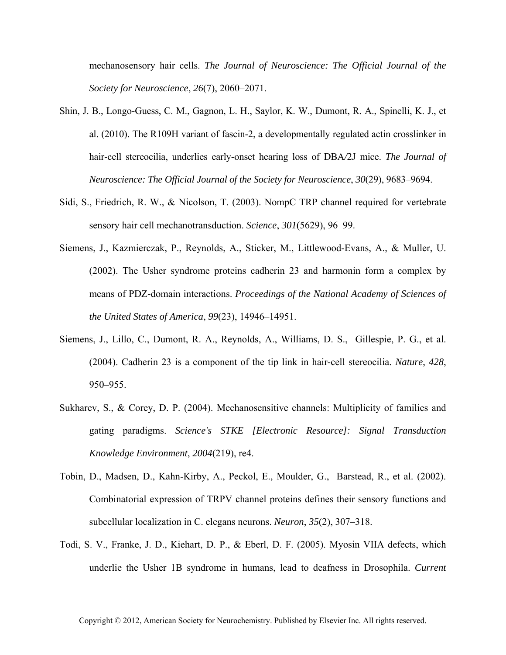mechanosensory hair cells. *The Journal of Neuroscience: The Official Journal of the Society for Neuroscience*, *26*(7), 2060–2071.

- Shin, J. B., Longo-Guess, C. M., Gagnon, L. H., Saylor, K. W., Dumont, R. A., Spinelli, K. J., et al. (2010). The R109H variant of fascin-2, a developmentally regulated actin crosslinker in hair-cell stereocilia, underlies early-onset hearing loss of DBA*/*2J mice. *The Journal of Neuroscience: The Official Journal of the Society for Neuroscience*, *30*(29), 9683–9694.
- Sidi, S., Friedrich, R. W., & Nicolson, T. (2003). NompC TRP channel required for vertebrate sensory hair cell mechanotransduction. *Science*, *301*(5629), 96–99.
- Siemens, J., Kazmierczak, P., Reynolds, A., Sticker, M., Littlewood-Evans, A., & Muller, U. (2002). The Usher syndrome proteins cadherin 23 and harmonin form a complex by means of PDZ-domain interactions. *Proceedings of the National Academy of Sciences of the United States of America*, *99*(23), 14946–14951.
- Siemens, J., Lillo, C., Dumont, R. A., Reynolds, A., Williams, D. S., Gillespie, P. G., et al. (2004). Cadherin 23 is a component of the tip link in hair-cell stereocilia. *Nature*, *428*, 950–955.
- Sukharev, S., & Corey, D. P. (2004). Mechanosensitive channels: Multiplicity of families and gating paradigms. *Science's STKE [Electronic Resource]: Signal Transduction Knowledge Environment*, *2004*(219), re4.
- Tobin, D., Madsen, D., Kahn-Kirby, A., Peckol, E., Moulder, G., Barstead, R., et al. (2002). Combinatorial expression of TRPV channel proteins defines their sensory functions and subcellular localization in C. elegans neurons. *Neuron*, *35*(2), 307–318.
- Todi, S. V., Franke, J. D., Kiehart, D. P., & Eberl, D. F. (2005). Myosin VIIA defects, which underlie the Usher 1B syndrome in humans, lead to deafness in Drosophila. *Current*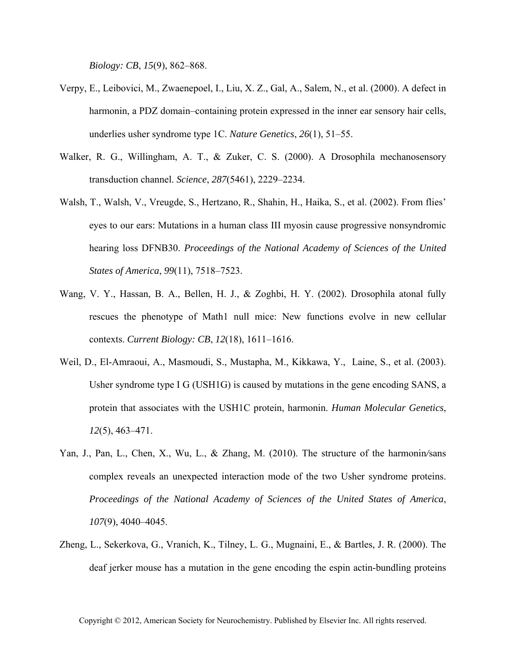*Biology: CB*, *15*(9), 862–868.

- Verpy, E., Leibovici, M., Zwaenepoel, I., Liu, X. Z., Gal, A., Salem, N., et al. (2000). A defect in harmonin, a PDZ domain–containing protein expressed in the inner ear sensory hair cells, underlies usher syndrome type 1C. *Nature Genetics*, *26*(1), 51–55.
- Walker, R. G., Willingham, A. T., & Zuker, C. S. (2000). A Drosophila mechanosensory transduction channel. *Science*, *287*(5461), 2229–2234.
- Walsh, T., Walsh, V., Vreugde, S., Hertzano, R., Shahin, H., Haika, S., et al. (2002). From flies' eyes to our ears: Mutations in a human class III myosin cause progressive nonsyndromic hearing loss DFNB30. *Proceedings of the National Academy of Sciences of the United States of America*, *99*(11), 7518–7523.
- Wang, V. Y., Hassan, B. A., Bellen, H. J., & Zoghbi, H. Y. (2002). Drosophila atonal fully rescues the phenotype of Math1 null mice: New functions evolve in new cellular contexts. *Current Biology: CB*, *12*(18), 1611–1616.
- Weil, D., El-Amraoui, A., Masmoudi, S., Mustapha, M., Kikkawa, Y., Laine, S., et al. (2003). Usher syndrome type I G (USH1G) is caused by mutations in the gene encoding SANS, a protein that associates with the USH1C protein, harmonin. *Human Molecular Genetics*, *12*(5), 463–471.
- Yan, J., Pan, L., Chen, X., Wu, L., & Zhang, M. (2010). The structure of the harmonin*/*sans complex reveals an unexpected interaction mode of the two Usher syndrome proteins. *Proceedings of the National Academy of Sciences of the United States of America*, *107*(9), 4040–4045.
- Zheng, L., Sekerkova, G., Vranich, K., Tilney, L. G., Mugnaini, E., & Bartles, J. R. (2000). The deaf jerker mouse has a mutation in the gene encoding the espin actin-bundling proteins